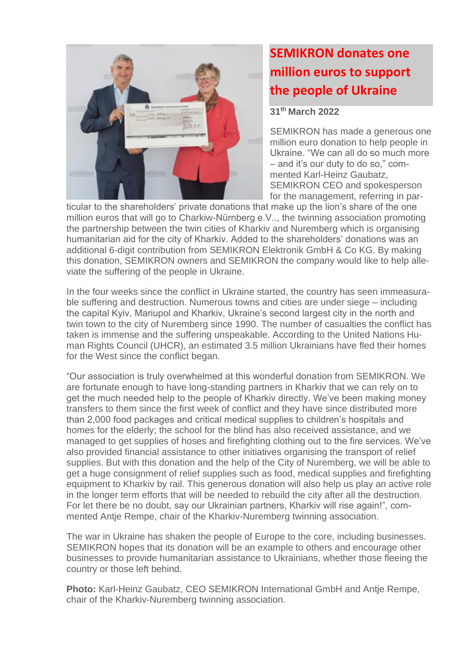

## **SEMIKRON donates one million euros to support the people of Ukraine**

**31 th March 2022**

SEMIKRON has made a generous one million euro donation to help people in Ukraine. "We can all do so much more – and it's our duty to do so," commented Karl-Heinz Gaubatz, SEMIKRON CEO and spokesperson for the management, referring in par-

ticular to the shareholders' private donations that make up the lion's share of the one million euros that will go to Charkiw-Nürnberg e.V.., the twinning association promoting the partnership between the twin cities of Kharkiv and Nuremberg which is organising humanitarian aid for the city of Kharkiv. Added to the shareholders' donations was an additional 6-digit contribution from SEMIKRON Elektronik GmbH & Co KG. By making this donation, SEMIKRON owners and SEMIKRON the company would like to help alleviate the suffering of the people in Ukraine.

In the four weeks since the conflict in Ukraine started, the country has seen immeasurable suffering and destruction. Numerous towns and cities are under siege – including the capital Kyiv, Mariupol and Kharkiv, Ukraine's second largest city in the north and twin town to the city of Nuremberg since 1990. The number of casualties the conflict has taken is immense and the suffering unspeakable. According to the United Nations Human Rights Council (UHCR), an estimated 3.5 million Ukrainians have fled their homes for the West since the conflict began.

"Our association is truly overwhelmed at this wonderful donation from SEMIKRON. We are fortunate enough to have long-standing partners in Kharkiv that we can rely on to get the much needed help to the people of Kharkiv directly. We've been making money transfers to them since the first week of conflict and they have since distributed more than 2,000 food packages and critical medical supplies to children's hospitals and homes for the elderly; the school for the blind has also received assistance, and we managed to get supplies of hoses and firefighting clothing out to the fire services. We've also provided financial assistance to other initiatives organising the transport of relief supplies. But with this donation and the help of the City of Nuremberg, we will be able to get a huge consignment of relief supplies such as food, medical supplies and firefighting equipment to Kharkiv by rail. This generous donation will also help us play an active role in the longer term efforts that will be needed to rebuild the city after all the destruction. For let there be no doubt, say our Ukrainian partners, Kharkiv will rise again!", commented Antie Rempe, chair of the Kharkiv-Nuremberg twinning association.

The war in Ukraine has shaken the people of Europe to the core, including businesses. SEMIKRON hopes that its donation will be an example to others and encourage other businesses to provide humanitarian assistance to Ukrainians, whether those fleeing the country or those left behind.

**Photo:** Karl-Heinz Gaubatz, CEO SEMIKRON International GmbH and Antje Rempe, chair of the Kharkiv-Nuremberg twinning association.